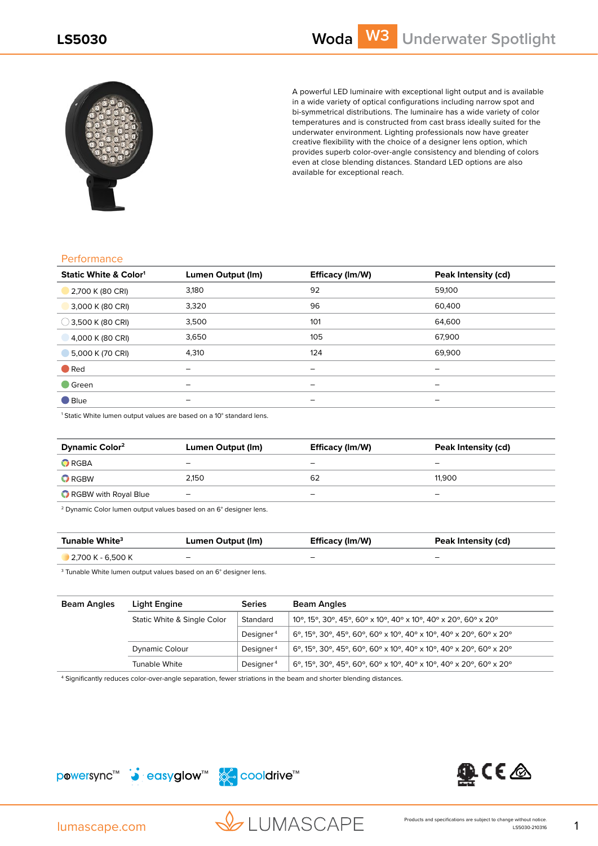

A powerful LED luminaire with exceptional light output and is available in a wide variety of optical configurations including narrow spot and bi-symmetrical distributions. The luminaire has a wide variety of color temperatures and is constructed from cast brass ideally suited for the underwater environment. Lighting professionals now have greater creative flexibility with the choice of a designer lens option, which provides superb color-over-angle consistency and blending of colors even at close blending distances. Standard LED options are also available for exceptional reach.

## **Performance**

| <b>Static White &amp; Color1</b> | Lumen Output (Im) | Efficacy (Im/W)          | Peak Intensity (cd) |
|----------------------------------|-------------------|--------------------------|---------------------|
| 2,700 K (80 CRI)                 | 3,180             | 92                       | 59,100              |
| 3,000 K (80 CRI)                 | 3,320             | 96                       | 60,400              |
| $\bigcirc$ 3,500 K (80 CRI)      | 3,500             | 101                      | 64,600              |
| 4,000 K (80 CRI)                 | 3,650             | 105                      | 67.900              |
| 5,000 K (70 CRI)                 | 4,310             | 124                      | 69,900              |
| $\bullet$ Red                    | -                 | $\overline{\phantom{m}}$ | -                   |
| $\blacksquare$ Green             | -                 | $\overline{\phantom{m}}$ | -                   |
| $\blacksquare$ Blue              |                   | $\overline{\phantom{0}}$ | -                   |

<sup>1</sup> Static White lumen output values are based on a 10° standard lens.

| <b>Dynamic Color<sup>2</sup></b> | Lumen Output (Im)        | Efficacy (Im/W) | Peak Intensity (cd) |
|----------------------------------|--------------------------|-----------------|---------------------|
| $\bullet$ RGBA                   | -                        | -               | -                   |
| $\bullet$ RGBW                   | 2.150                    | 62              | 11.900              |
| RGBW with Royal Blue             | $\overline{\phantom{0}}$ | -               | -                   |

2 Dynamic Color lumen output values based on an 6° designer lens.

| Tunable White <sup>3</sup> | Lumen Output (Im) | Efficacy (Im/W)          | Peak Intensity (cd) |
|----------------------------|-------------------|--------------------------|---------------------|
| 2,700 K - 6,500 K          | -                 | $\overline{\phantom{0}}$ | -                   |

3 Tunable White lumen output values based on an 6° designer lens.

| <b>Beam Angles</b> | Light Engine                | <b>Series</b>         | Beam Angles                                                        |
|--------------------|-----------------------------|-----------------------|--------------------------------------------------------------------|
|                    | Static White & Single Color | Standard              | 10°, 15°, 30°, 45°, 60° x 10°, 40° x 10°, 40° x 20°, 60° x 20°     |
|                    |                             | Designer <sup>4</sup> | 6°, 15°, 30°, 45°, 60°, 60° x 10°, 40° x 10°, 40° x 20°, 60° x 20° |
|                    | Dynamic Colour              | Designer <sup>4</sup> | 6°, 15°, 30°, 45°, 60°, 60° x 10°, 40° x 10°, 40° x 20°, 60° x 20° |
|                    | Tunable White               | Designer <sup>4</sup> | 6°, 15°, 30°, 45°, 60°, 60° x 10°, 40° x 10°, 40° x 20°, 60° x 20° |

4 Significantly reduces color-over-angle separation, fewer striations in the beam and shorter blending distances.







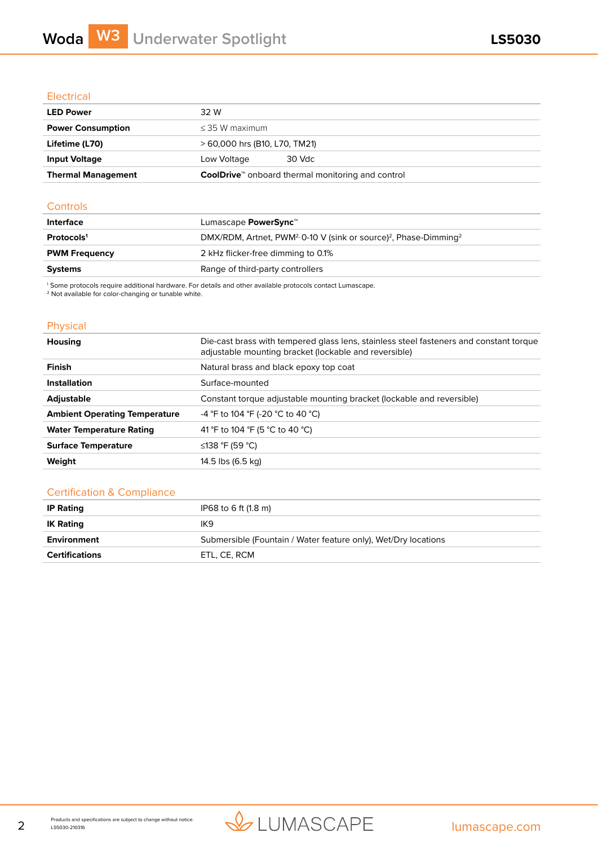## **Electrical**

| <b>LED Power</b>          | 32 W                                                                  |  |
|---------------------------|-----------------------------------------------------------------------|--|
| <b>Power Consumption</b>  | $<$ 35 W maximum                                                      |  |
| Lifetime (L70)            | > 60,000 hrs (B10, L70, TM21)                                         |  |
| <b>Input Voltage</b>      | 30 Vdc<br>Low Voltage                                                 |  |
| <b>Thermal Management</b> | <b>CoolDrive</b> <sup>**</sup> onboard thermal monitoring and control |  |

## **Controls**

| Lumascape <b>PowerSync</b> ™                                                                         |
|------------------------------------------------------------------------------------------------------|
| DMX/RDM, Artnet, PWM <sup>2,</sup> 0-10 V (sink or source) <sup>2</sup> , Phase-Dimming <sup>2</sup> |
| 2 kHz flicker-free dimming to 0.1%                                                                   |
| Range of third-party controllers                                                                     |
|                                                                                                      |

1 Some protocols require additional hardware. For details and other available protocols contact Lumascape. 2 Not available for color-changing or tunable white.

## Physical

| <b>Housing</b>                       | Die-cast brass with tempered glass lens, stainless steel fasteners and constant torque<br>adjustable mounting bracket (lockable and reversible) |  |
|--------------------------------------|-------------------------------------------------------------------------------------------------------------------------------------------------|--|
| <b>Finish</b>                        | Natural brass and black epoxy top coat                                                                                                          |  |
| <b>Installation</b>                  | Surface-mounted                                                                                                                                 |  |
| <b>Adjustable</b>                    | Constant torque adjustable mounting bracket (lockable and reversible)                                                                           |  |
| <b>Ambient Operating Temperature</b> | -4 °F to 104 °F (-20 °C to 40 °C)                                                                                                               |  |
| <b>Water Temperature Rating</b>      | 41 °F to 104 °F (5 °C to 40 °C)                                                                                                                 |  |
| <b>Surface Temperature</b>           | ≤138 °F (59 °C)                                                                                                                                 |  |
| Weight                               | 14.5 lbs (6.5 kg)                                                                                                                               |  |
|                                      |                                                                                                                                                 |  |

## Certification & Compliance

| <b>IP Rating</b>      | IP68 to 6 ft (1.8 m)                                           |
|-----------------------|----------------------------------------------------------------|
| <b>IK Rating</b>      | IK9                                                            |
| Environment           | Submersible (Fountain / Water feature only), Wet/Dry locations |
| <b>Certifications</b> | ETL. CE. RCM                                                   |

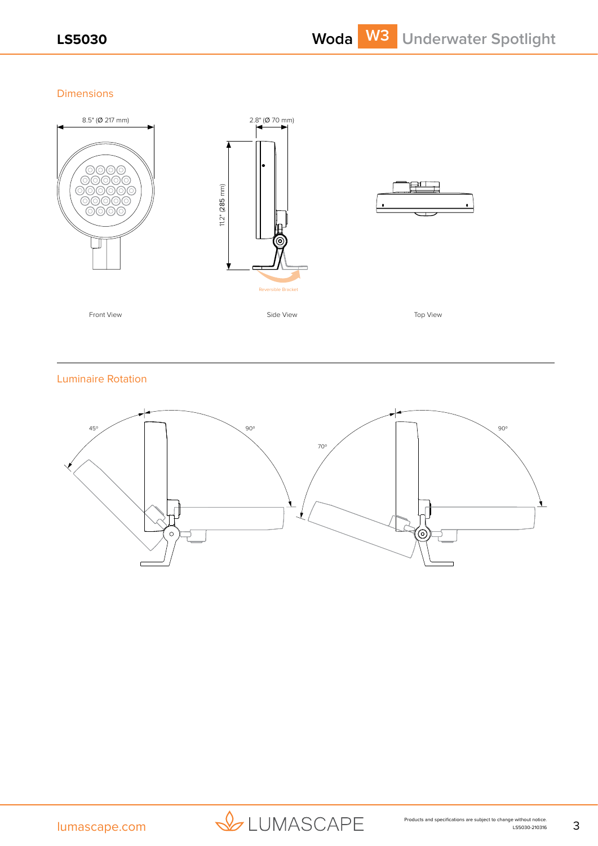Dimensions



Luminaire Rotation



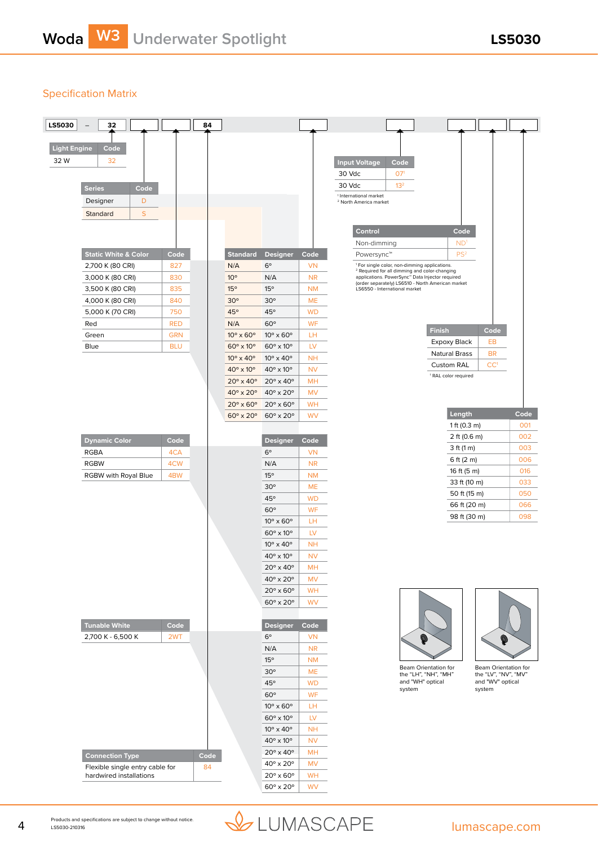## Specification Matrix

| LS5030              | 32                              |            | 84   |                                |                                           |                 |                                                                                                                      |                                 |                            |  |
|---------------------|---------------------------------|------------|------|--------------------------------|-------------------------------------------|-----------------|----------------------------------------------------------------------------------------------------------------------|---------------------------------|----------------------------|--|
|                     |                                 |            |      |                                |                                           |                 |                                                                                                                      |                                 |                            |  |
| <b>Light Engine</b> | Code                            |            |      |                                |                                           |                 |                                                                                                                      |                                 |                            |  |
| 32 W                | 32                              |            |      |                                |                                           |                 | <b>Input Voltage</b><br>Code                                                                                         |                                 |                            |  |
|                     |                                 |            |      |                                |                                           |                 | 30 Vdc<br>07 <sup>1</sup>                                                                                            |                                 |                            |  |
|                     |                                 |            |      |                                |                                           |                 | 30 Vdc<br>13 <sup>2</sup>                                                                                            |                                 |                            |  |
|                     | <b>Series</b><br>Code           |            |      |                                |                                           |                 | <sup>1</sup> International market                                                                                    |                                 |                            |  |
|                     | D<br>Designer                   |            |      |                                |                                           |                 | <sup>2</sup> North America market                                                                                    |                                 |                            |  |
|                     | S<br>Standard                   |            |      |                                |                                           |                 |                                                                                                                      |                                 |                            |  |
|                     |                                 |            |      |                                |                                           |                 |                                                                                                                      |                                 |                            |  |
|                     |                                 |            |      |                                |                                           |                 | Control                                                                                                              | Code                            |                            |  |
|                     |                                 |            |      |                                |                                           |                 | Non-dimming                                                                                                          | ND <sup>1</sup>                 |                            |  |
|                     | <b>Static White &amp; Color</b> | Code       |      | <b>Standard</b>                | <b>Designer</b>                           | Code            | Powersync™                                                                                                           | PS <sup>2</sup>                 |                            |  |
|                     | 2,700 K (80 CRI)                | 827        |      | N/A                            | $6^{\circ}$                               | <b>VN</b>       | <sup>1</sup> For single color, non-dimming applications.<br><sup>2</sup> Required for all dimming and color-changing |                                 |                            |  |
|                     | 3,000 K (80 CRI)                | 830        |      | $10^{\circ}$                   | N/A                                       | <b>NR</b>       | applications. PowerSync <sup>®</sup> Data Injector required<br>(order separately) LS6510 - North American market     |                                 |                            |  |
|                     | 3,500 K (80 CRI)                | 835        |      | 15°                            | 15°                                       | <b>NM</b>       | LS6550 - International market                                                                                        |                                 |                            |  |
|                     | 4,000 K (80 CRI)                | 840        |      | $30^\circ$                     | $30^\circ$                                | <b>ME</b>       |                                                                                                                      |                                 |                            |  |
|                     | 5,000 K (70 CRI)                | 750        |      | 45°                            | 45°                                       | <b>WD</b>       |                                                                                                                      |                                 |                            |  |
|                     | Red                             | <b>RED</b> |      | N/A                            | $60^\circ$                                | WF              |                                                                                                                      | <b>Finish</b>                   | Code                       |  |
|                     | Green                           | <b>GRN</b> |      | $10^{\circ} \times 60^{\circ}$ | $10^{\circ}$ x $60^{\circ}$               | LН              |                                                                                                                      | Expoxy Black                    | EB                         |  |
|                     | Blue                            | <b>BLU</b> |      | $60^\circ \times 10^\circ$     | $60^{\circ}$ x 10 $^{\circ}$              | LV              |                                                                                                                      | Natural Brass                   | <b>BR</b>                  |  |
|                     |                                 |            |      | $10^{\circ} \times 40^{\circ}$ | $10^{\circ} \times 40^{\circ}$            | <b>NH</b>       |                                                                                                                      | <b>Custom RAL</b>               | CC <sup>1</sup>            |  |
|                     |                                 |            |      | $40^{\circ}$ x 10 $^{\circ}$   | $40^{\circ}$ x 10 $^{\circ}$              | <b>NV</b>       |                                                                                                                      | <sup>1</sup> RAL color required |                            |  |
|                     |                                 |            |      | $20^{\circ}$ x 40°             | $20^\circ \times 40^\circ$                | <b>MH</b>       |                                                                                                                      |                                 |                            |  |
|                     |                                 |            |      | 40° x 20°                      | 40° x 20°                                 | <b>MV</b>       |                                                                                                                      |                                 |                            |  |
|                     |                                 |            |      | $20^\circ \times 60^\circ$     | $20^{\circ}$ x 60 $^{\circ}$              | <b>WH</b>       |                                                                                                                      |                                 |                            |  |
|                     |                                 |            |      | $60^\circ \times 20^\circ$     | $60^\circ \times 20^\circ$                | <b>WV</b>       |                                                                                                                      | Length                          | Code                       |  |
|                     |                                 |            |      |                                |                                           |                 |                                                                                                                      | 1 ft $(0.3 \text{ m})$          | 001                        |  |
|                     | <b>Dynamic Color</b>            | Code       |      |                                | <b>Designer</b>                           | Code            |                                                                                                                      | 2 ft (0.6 m)                    | 002                        |  |
|                     | <b>RGBA</b>                     | 4CA        |      |                                | $6^{\circ}$                               | <b>VN</b>       |                                                                                                                      | 3 ft (1 m)                      | 003                        |  |
|                     | <b>RGBW</b>                     | 4CW        |      |                                | N/A                                       | <b>NR</b>       |                                                                                                                      | 6 ft $(2 m)$                    | 006                        |  |
|                     | RGBW with Royal Blue            | 4BW        |      |                                | 15°                                       | <b>NM</b>       |                                                                                                                      | 16 ft (5 m)                     | 016                        |  |
|                     |                                 |            |      |                                | $30^\circ$                                | <b>ME</b>       |                                                                                                                      | 33 ft (10 m)                    | 033                        |  |
|                     |                                 |            |      |                                | 45°                                       | <b>WD</b>       |                                                                                                                      | 50 ft (15 m)                    | 050                        |  |
|                     |                                 |            |      |                                | $60^\circ$                                | WF              |                                                                                                                      | 66 ft (20 m)                    | 066                        |  |
|                     |                                 |            |      |                                | $10^{\circ} \times 60^{\circ}$            | LН              |                                                                                                                      | 98 ft (30 m)                    | 098                        |  |
|                     |                                 |            |      |                                | $60^\circ \times 10^\circ$                | LV              |                                                                                                                      |                                 |                            |  |
|                     |                                 |            |      |                                | $10^{\circ} \times 40^{\circ}$            | <b>NH</b>       |                                                                                                                      |                                 |                            |  |
|                     |                                 |            |      |                                | $40^{\circ}$ x 10 $^{\circ}$              | <b>NV</b>       |                                                                                                                      |                                 |                            |  |
|                     |                                 |            |      |                                |                                           |                 |                                                                                                                      |                                 |                            |  |
|                     |                                 |            |      |                                | $20^{\circ}$ x 40 $^{\circ}$<br>40° x 20° | <b>MH</b>       |                                                                                                                      |                                 |                            |  |
|                     |                                 |            |      |                                |                                           | <b>MV</b>       |                                                                                                                      |                                 |                            |  |
|                     |                                 |            |      |                                | $20^{\circ}$ x 60 $^{\circ}$              | WH<br><b>WV</b> |                                                                                                                      |                                 |                            |  |
|                     |                                 |            |      |                                | $60^\circ \times 20^\circ$                |                 |                                                                                                                      |                                 |                            |  |
|                     |                                 |            |      |                                |                                           |                 |                                                                                                                      |                                 |                            |  |
|                     | <b>Tunable White</b>            | Code       |      |                                | <b>Designer</b>                           | Code            |                                                                                                                      |                                 |                            |  |
|                     | 2,700 K - 6,500 K               | 2WT        |      |                                | $6^{\circ}$                               | <b>VN</b>       | 0                                                                                                                    |                                 | 9                          |  |
|                     |                                 |            |      |                                | N/A                                       | <b>NR</b>       |                                                                                                                      |                                 |                            |  |
|                     |                                 |            |      |                                | 15°                                       | <b>NM</b>       | Beam Orientation for                                                                                                 |                                 | Beam Orientation for       |  |
|                     |                                 |            |      |                                | $30^\circ$                                | <b>ME</b>       | the "LH", "NH", "MH"                                                                                                 |                                 | the "LV", "NV", "MV"       |  |
|                     |                                 |            |      |                                | 45°                                       | <b>WD</b>       | and "WH" optical<br>system                                                                                           |                                 | and "WV" optical<br>system |  |
|                     |                                 |            |      |                                | $60^\circ$                                | WF              |                                                                                                                      |                                 |                            |  |
|                     |                                 |            |      |                                | $10^{\circ}$ x 60 $^{\circ}$              | LH.             |                                                                                                                      |                                 |                            |  |
|                     |                                 |            |      |                                | $60^\circ \times 10^\circ$                | LV              |                                                                                                                      |                                 |                            |  |
|                     |                                 |            |      |                                | $10^{\circ} \times 40^{\circ}$            | <b>NH</b>       |                                                                                                                      |                                 |                            |  |
|                     |                                 |            |      |                                | $40^{\circ}$ x 10 $^{\circ}$              | <b>NV</b>       |                                                                                                                      |                                 |                            |  |
|                     | <b>Connection Type</b>          |            | Code |                                | $20^{\circ}$ x 40 $^{\circ}$              | <b>MH</b>       |                                                                                                                      |                                 |                            |  |
|                     | Flexible single entry cable for |            | 84   |                                | $40^{\circ}$ x $20^{\circ}$               | <b>MV</b>       |                                                                                                                      |                                 |                            |  |
|                     | hardwired installations         |            |      |                                | $20^{\circ}$ x 60 $^{\circ}$              | WH              |                                                                                                                      |                                 |                            |  |

LUMASCAPE lumascape.com

 $60^\circ \times 20^\circ$  WV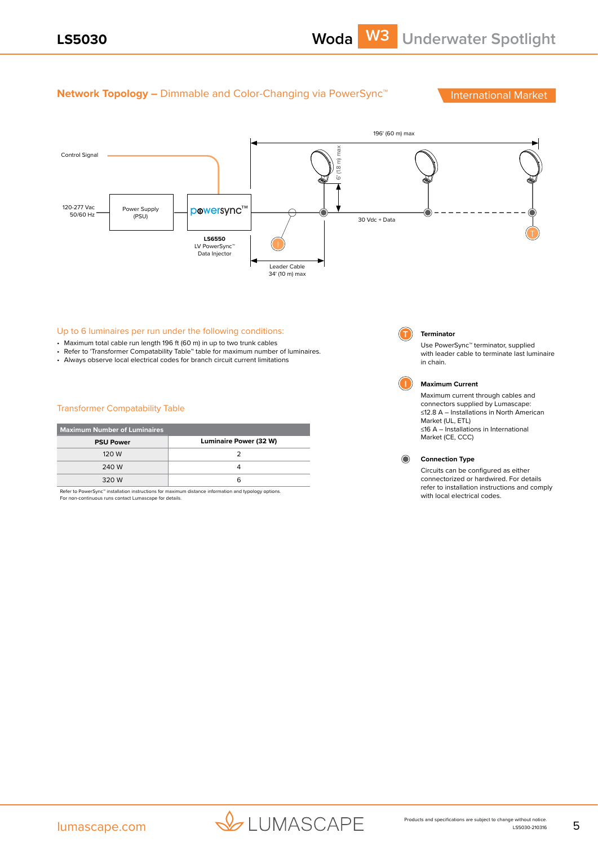## **Network Topology –** Dimmable and Color-Changing via PowerSync<sup>™</sup> International Market



### Up to 6 luminaires per run under the following conditions:

- Maximum total cable run length 196 ft (60 m) in up to two trunk cables
- Refer to 'Transformer Compatability Table'' table for maximum number of luminaires.
- Always observe local electrical codes for branch circuit current limitations

#### Transformer Compatability Table

| <b>Maximum Number of Luminaires</b> |                        |  |
|-------------------------------------|------------------------|--|
| <b>PSU Power</b>                    | Luminaire Power (32 W) |  |
| 120 W                               |                        |  |
| 240 W                               |                        |  |
| 320 W                               | ีค                     |  |

Refer to PowerSync™ installation instructions for maximum distance information and typology options. For non-continuous runs contact Lumascape for details.

# in chain.

**T Terminator**

**I Maximum Current**  Maximum current through cables and connectors supplied by Lumascape: ≤12.8 A – Installations in North American

Use PowerSync™ terminator, supplied with leader cable to terminate last luminaire

Market (UL, ETL) ≤16 A – Installations in International Market (CE, CCC)

 $\bullet$ **Connection Type**

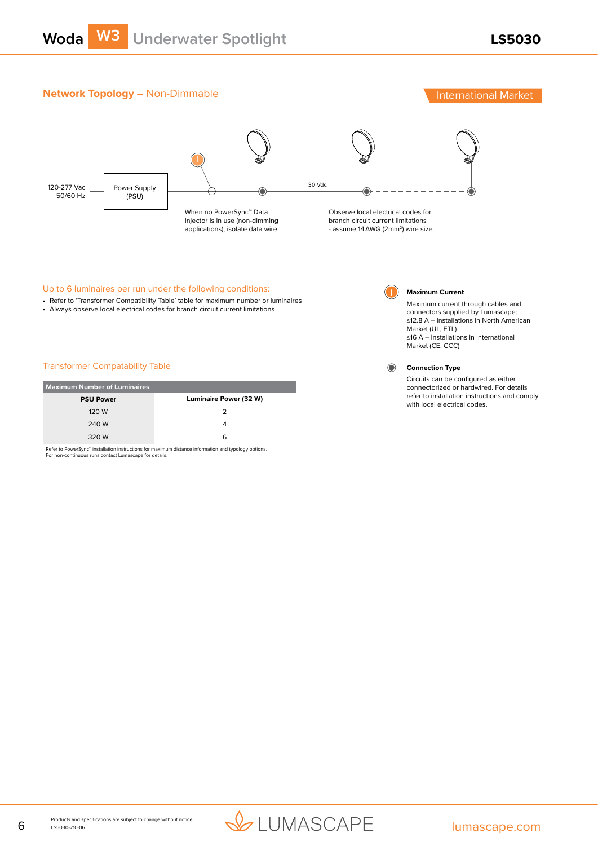## **Network Topology –** Non-Dimmable **International Market** International Market



### Up to 6 luminaires per run under the following conditions:

- Refer to 'Transformer Compatibility Table' table for maximum number or luminaires
- Always observe local electrical codes for branch circuit current limitations

#### Transformer Compatability Table

| <b>Maximum Number of Luminaires</b> |                               |  |
|-------------------------------------|-------------------------------|--|
| <b>PSU Power</b>                    | <b>Luminaire Power (32 W)</b> |  |
| 120 W                               |                               |  |
| 240 W                               |                               |  |
| 320 W                               |                               |  |

Refer to PowerSync™ installation instructions for maximum distance information and typology options. For non-continuous runs contact Lumascape for details.



#### **I Maximum Current**

Maximum current through cables and connectors supplied by Lumascape: ≤12.8 A – Installations in North American Market (UL, ETL) ≤16 A – Installations in International Market (CE, CCC)



### **Connection Type**

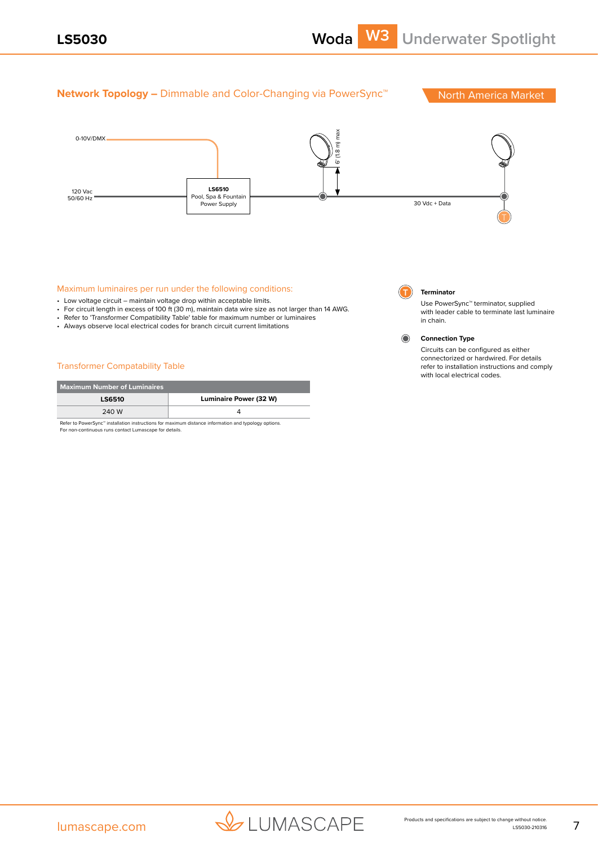## **Network Topology –** Dimmable and Color-Changing via PowerSync<sup>™</sup> North America Market 6' (1.8 m) max 0-10V/DMX **LS6510** 120 Vac<br>50/60 Hz Pool, Spa & Fountair 50/60 Hz<br>Power Supply Proverse and the Community of the Community of the Community of the Community of the Community of Power Supply T Maximum luminaires per run under the following conditions: **T Terminator** • Low voltage circuit – maintain voltage drop within acceptable limits. Use PowerSync™ terminator, supplied • For circuit length in excess of 100 ft (30 m), maintain data wire size as not larger than 14 AWG. with leader cable to terminate last luminaire • Refer to 'Transformer Compatibility Table' table for maximum number or luminaires in chain. • Always observe local electrical codes for branch circuit current limitations ∩

## Transformer Compatability Table

| Maximum Number of Luminaires |                        |  |
|------------------------------|------------------------|--|
| <b>LS6510</b>                | Luminaire Power (32 W) |  |
| 240 W                        |                        |  |
|                              |                        |  |

Refer to PowerSync™ installation instructions for maximum distance information and typology options. For non-continuous runs contact Lumascape for details.

#### **Connection Type**

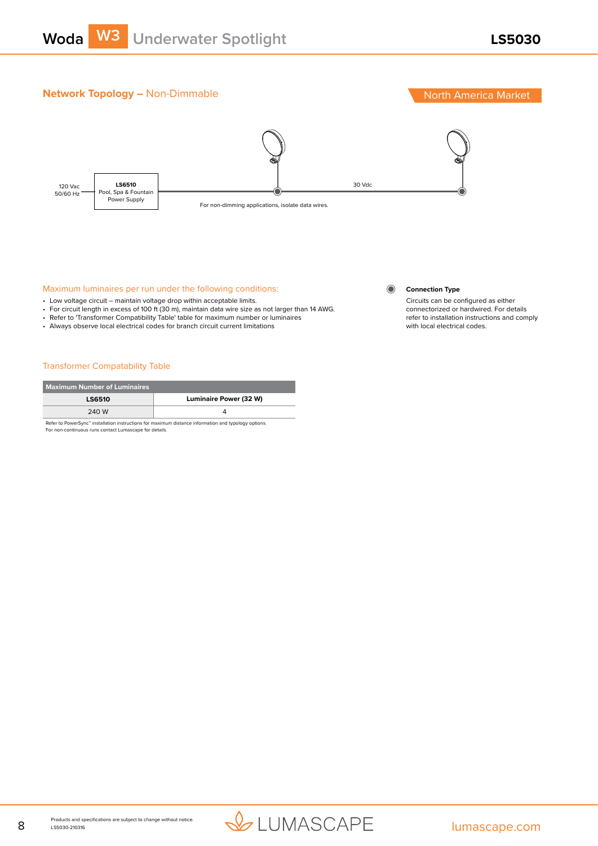

## **Network Topology – Non-Dimmable North America Market**



### Maximum luminaires per run under the following conditions:

- Low voltage circuit maintain voltage drop within acceptable limits.
- For circuit length in excess of 100 ft (30 m), maintain data wire size as not larger than 14 AWG.
- Refer to 'Transformer Compatibility Table' table for maximum number or luminaires
- Always observe local electrical codes for branch circuit current limitations

#### Transformer Compatability Table

| <b>Maximum Number of Luminaires</b>                                                                              |                               |
|------------------------------------------------------------------------------------------------------------------|-------------------------------|
| <b>LS6510</b>                                                                                                    | <b>Luminaire Power (32 W)</b> |
| 240 W                                                                                                            |                               |
| Refer to PowerSync <sup>™</sup> installation instructions for maximum distance information and typology options. |                               |

For non-continuous runs contact Lumascape for details.

#### $\odot$ **Connection Type**